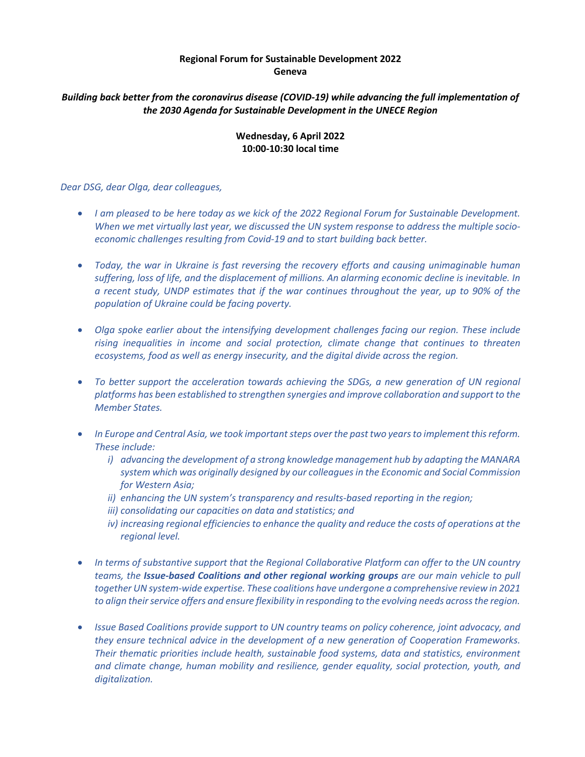## **Regional Forum for Sustainable Development 2022 Geneva**

## *Building back better from the coronavirus disease (COVID-19) while advancing the full implementation of the 2030 Agenda for Sustainable Development in the UNECE Region*

## **Wednesday, 6 April 2022 10:00-10:30 local time**

## *Dear DSG, dear Olga, dear colleagues,*

- *I am pleased to be here today as we kick of the 2022 Regional Forum for Sustainable Development. When we met virtually last year, we discussed the UN system response to address the multiple socioeconomic challenges resulting from Covid-19 and to start building back better.*
- *Today, the war in Ukraine is fast reversing the recovery efforts and causing unimaginable human suffering, loss of life, and the displacement of millions. An alarming economic decline is inevitable. In a recent study, UNDP estimates that if the war continues throughout the year, up to 90% of the population of Ukraine could be facing poverty.*
- *Olga spoke earlier about the intensifying development challenges facing our region. These include rising inequalities in income and social protection, climate change that continues to threaten ecosystems, food as well as energy insecurity, and the digital divide across the region.*
- *To better support the acceleration towards achieving the SDGs, a new generation of UN regional platforms has been established to strengthen synergies and improve collaboration and support to the Member States.*
- In Europe and Central Asia, we took important steps over the past two years to implement this reform. *These include:*
	- *i) advancing the development of a strong knowledge management hub by adapting the MANARA system which was originally designed by our colleagues in the Economic and Social Commission for Western Asia;*
	- *ii) enhancing the UN system's transparency and results-based reporting in the region;*
	- *iii) consolidating our capacities on data and statistics; and*
	- *iv) increasing regional efficiencies to enhance the quality and reduce the costs of operations at the regional level.*
- *In terms of substantive support that the Regional Collaborative Platform can offer to the UN country teams, the Issue-based Coalitions and other regional working groups are our main vehicle to pull together UN system-wide expertise. These coalitions have undergone a comprehensive review in 2021 to align their service offers and ensure flexibility in responding to the evolving needs across the region.*
- *Issue Based Coalitions provide support to UN country teams on policy coherence, joint advocacy, and they ensure technical advice in the development of a new generation of Cooperation Frameworks. Their thematic priorities include health, sustainable food systems, data and statistics, environment and climate change, human mobility and resilience, gender equality, social protection, youth, and digitalization.*